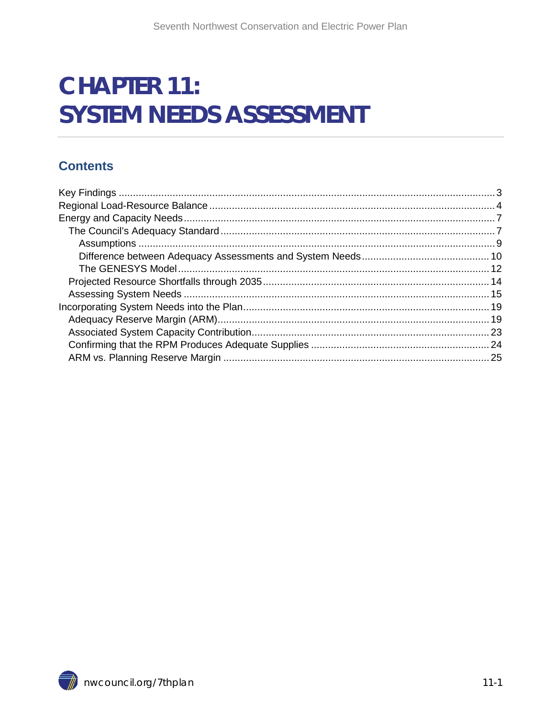# **CHAPTER 11: SYSTEM NEEDS ASSESSMENT**

#### **Contents**

<span id="page-0-0"></span>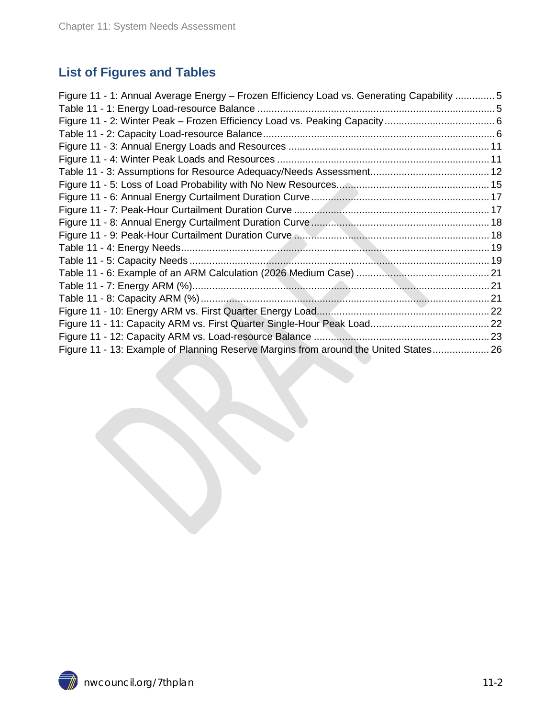### **List of Figures and Tables**

| Figure 11 - 1: Annual Average Energy – Frozen Efficiency Load vs. Generating Capability  5 |  |
|--------------------------------------------------------------------------------------------|--|
|                                                                                            |  |
|                                                                                            |  |
|                                                                                            |  |
|                                                                                            |  |
|                                                                                            |  |
|                                                                                            |  |
|                                                                                            |  |
|                                                                                            |  |
|                                                                                            |  |
|                                                                                            |  |
|                                                                                            |  |
|                                                                                            |  |
|                                                                                            |  |
|                                                                                            |  |
|                                                                                            |  |
|                                                                                            |  |
|                                                                                            |  |
|                                                                                            |  |
|                                                                                            |  |
| Figure 11 - 13: Example of Planning Reserve Margins from around the United States 26       |  |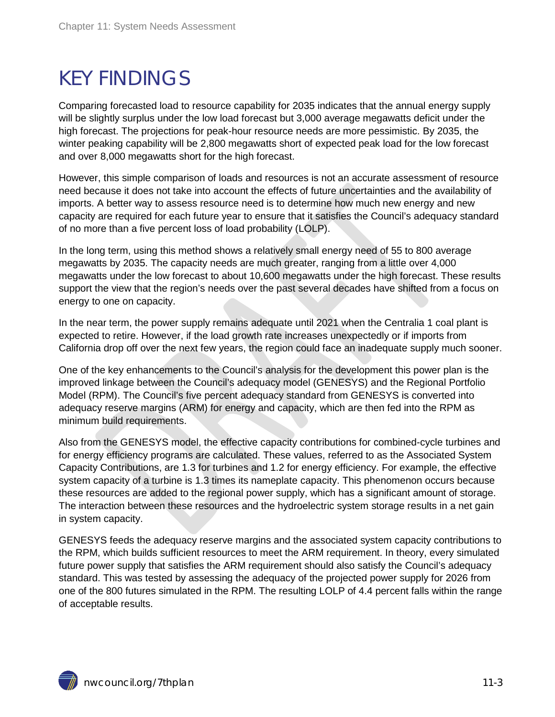# <span id="page-2-0"></span>KEY FINDINGS

Comparing forecasted load to resource capability for 2035 indicates that the annual energy supply will be slightly surplus under the low load forecast but 3,000 average megawatts deficit under the high forecast. The projections for peak-hour resource needs are more pessimistic. By 2035, the winter peaking capability will be 2,800 megawatts short of expected peak load for the low forecast and over 8,000 megawatts short for the high forecast.

However, this simple comparison of loads and resources is not an accurate assessment of resource need because it does not take into account the effects of future uncertainties and the availability of imports. A better way to assess resource need is to determine how much new energy and new capacity are required for each future year to ensure that it satisfies the Council's adequacy standard of no more than a five percent loss of load probability (LOLP).

In the long term, using this method shows a relatively small energy need of 55 to 800 average megawatts by 2035. The capacity needs are much greater, ranging from a little over 4,000 megawatts under the low forecast to about 10,600 megawatts under the high forecast. These results support the view that the region's needs over the past several decades have shifted from a focus on energy to one on capacity.

In the near term, the power supply remains adequate until 2021 when the Centralia 1 coal plant is expected to retire. However, if the load growth rate increases unexpectedly or if imports from California drop off over the next few years, the region could face an inadequate supply much sooner.

One of the key enhancements to the Council's analysis for the development this power plan is the improved linkage between the Council's adequacy model (GENESYS) and the Regional Portfolio Model (RPM). The Council's five percent adequacy standard from GENESYS is converted into adequacy reserve margins (ARM) for energy and capacity, which are then fed into the RPM as minimum build requirements.

Also from the GENESYS model, the effective capacity contributions for combined-cycle turbines and for energy efficiency programs are calculated. These values, referred to as the Associated System Capacity Contributions, are 1.3 for turbines and 1.2 for energy efficiency. For example, the effective system capacity of a turbine is 1.3 times its nameplate capacity. This phenomenon occurs because these resources are added to the regional power supply, which has a significant amount of storage. The interaction between these resources and the hydroelectric system storage results in a net gain in system capacity.

GENESYS feeds the adequacy reserve margins and the associated system capacity contributions to the RPM, which builds sufficient resources to meet the ARM requirement. In theory, every simulated future power supply that satisfies the ARM requirement should also satisfy the Council's adequacy standard. This was tested by assessing the adequacy of the projected power supply for 2026 from one of the 800 futures simulated in the RPM. The resulting LOLP of 4.4 percent falls within the range of acceptable results.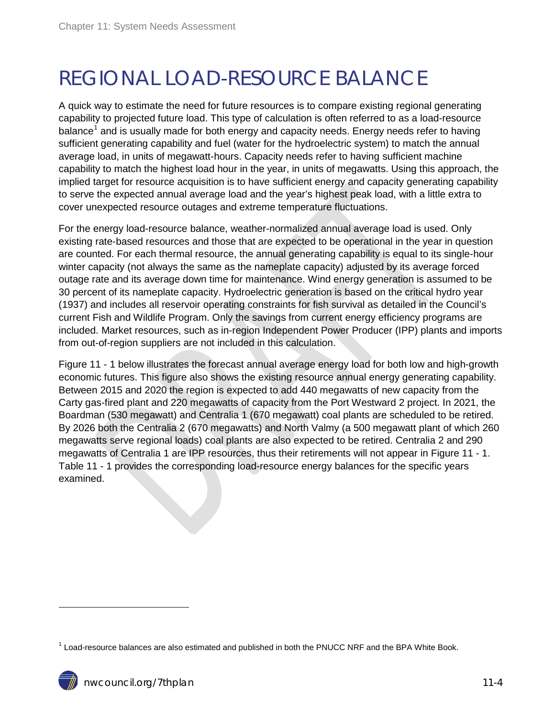# <span id="page-3-0"></span>REGIONAL LOAD-RESOURCE BALANCE

A quick way to estimate the need for future resources is to compare existing regional generating capability to projected future load. This type of calculation is often referred to as a load-resource balance<sup>[1](#page-0-0)</sup> and is usually made for both energy and capacity needs. Energy needs refer to having sufficient generating capability and fuel (water for the hydroelectric system) to match the annual average load, in units of megawatt-hours. Capacity needs refer to having sufficient machine capability to match the highest load hour in the year, in units of megawatts. Using this approach, the implied target for resource acquisition is to have sufficient energy and capacity generating capability to serve the expected annual average load and the year's highest peak load, with a little extra to cover unexpected resource outages and extreme temperature fluctuations.

For the energy load-resource balance, weather-normalized annual average load is used. Only existing rate-based resources and those that are expected to be operational in the year in question are counted. For each thermal resource, the annual generating capability is equal to its single-hour winter capacity (not always the same as the nameplate capacity) adjusted by its average forced outage rate and its average down time for maintenance. Wind energy generation is assumed to be 30 percent of its nameplate capacity. Hydroelectric generation is based on the critical hydro year (1937) and includes all reservoir operating constraints for fish survival as detailed in the Council's current Fish and Wildlife Program. Only the savings from current energy efficiency programs are included. Market resources, such as in-region Independent Power Producer (IPP) plants and imports from out-of-region suppliers are not included in this calculation.

Figure 11 - 1 below illustrates the forecast annual average energy load for both low and high-growth economic futures. This figure also shows the existing resource annual energy generating capability. Between 2015 and 2020 the region is expected to add 440 megawatts of new capacity from the Carty gas-fired plant and 220 megawatts of capacity from the Port Westward 2 project. In 2021, the Boardman (530 megawatt) and Centralia 1 (670 megawatt) coal plants are scheduled to be retired. By 2026 both the Centralia 2 (670 megawatts) and North Valmy (a 500 megawatt plant of which 260 megawatts serve regional loads) coal plants are also expected to be retired. Centralia 2 and 290 megawatts of Centralia 1 are IPP resources, thus their retirements will not appear in Figure 11 - 1. Table 11 - 1 provides the corresponding load-resource energy balances for the specific years examined.

<span id="page-3-1"></span> $1$  Load-resource balances are also estimated and published in both the PNUCC NRF and the BPA White Book.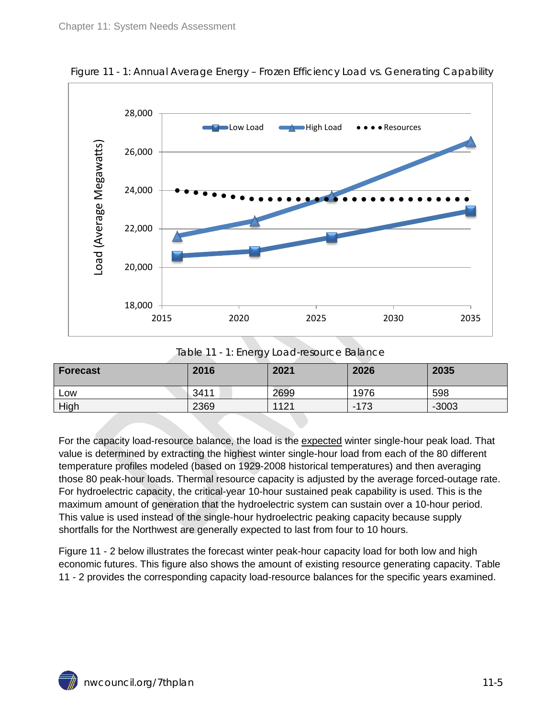

<span id="page-4-0"></span>Figure 11 - 1: Annual Average Energy – Frozen Efficiency Load vs. Generating Capability

Table 11 - 1: Energy Load-resource Balance

<span id="page-4-1"></span>

| <b>Forecast</b> | 2016 | 2021 | 2026   | 2035    |
|-----------------|------|------|--------|---------|
| Low             | 3411 | 2699 | 1976   | 598     |
| High            | 2369 | 1121 | $-173$ | $-3003$ |

For the capacity load-resource balance, the load is the expected winter single-hour peak load. That value is determined by extracting the highest winter single-hour load from each of the 80 different temperature profiles modeled (based on 1929-2008 historical temperatures) and then averaging those 80 peak-hour loads. Thermal resource capacity is adjusted by the average forced-outage rate. For hydroelectric capacity, the critical-year 10-hour sustained peak capability is used. This is the maximum amount of generation that the hydroelectric system can sustain over a 10-hour period. This value is used instead of the single-hour hydroelectric peaking capacity because supply shortfalls for the Northwest are generally expected to last from four to 10 hours.

Figure 11 - 2 below illustrates the forecast winter peak-hour capacity load for both low and high economic futures. This figure also shows the amount of existing resource generating capacity. Table 11 - 2 provides the corresponding capacity load-resource balances for the specific years examined.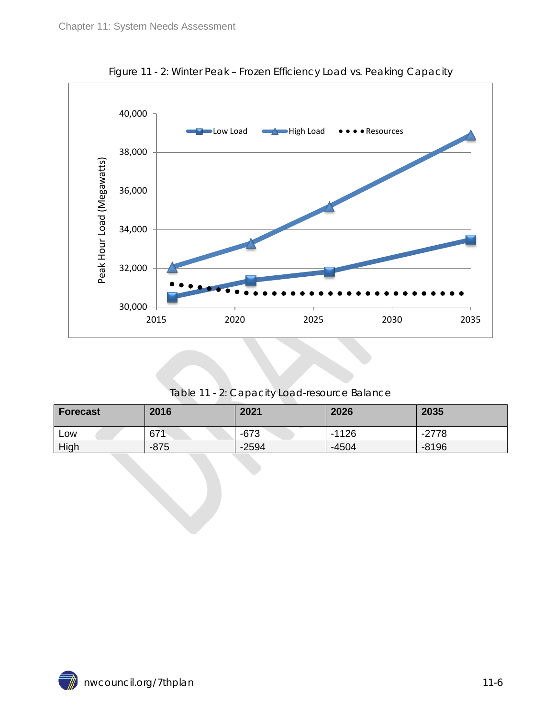<span id="page-5-0"></span>

Figure 11 - 2: Winter Peak – Frozen Efficiency Load vs. Peaking Capacity

Table 11 - 2: Capacity Load-resource Balance

<span id="page-5-1"></span>

| Forecast | 2016   | 2021    | 2026    | 2035    |
|----------|--------|---------|---------|---------|
| Low      | 671    | $-673$  | $-1126$ | $-2778$ |
| High     | $-875$ | $-2594$ | $-4504$ | $-8196$ |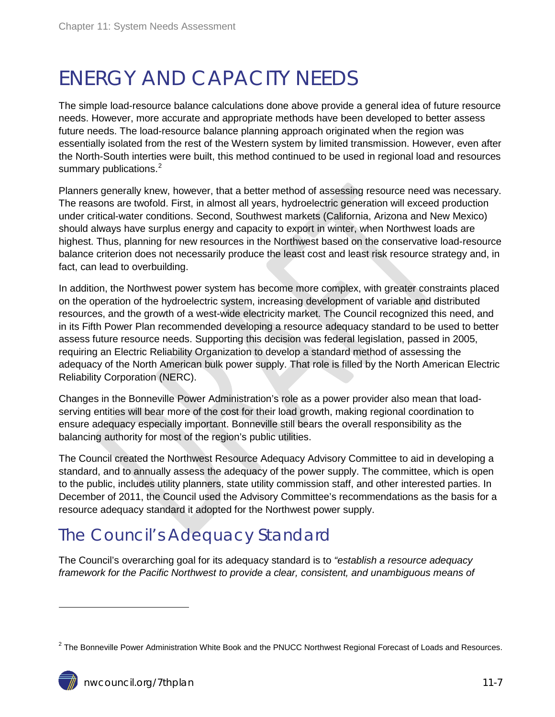# <span id="page-6-0"></span>ENERGY AND CAPACITY NEEDS

The simple load-resource balance calculations done above provide a general idea of future resource needs. However, more accurate and appropriate methods have been developed to better assess future needs. The load-resource balance planning approach originated when the region was essentially isolated from the rest of the Western system by limited transmission. However, even after the North-South interties were built, this method continued to be used in regional load and resources summary publications.<sup>[2](#page-3-1)</sup>

Planners generally knew, however, that a better method of assessing resource need was necessary. The reasons are twofold. First, in almost all years, hydroelectric generation will exceed production under critical-water conditions. Second, Southwest markets (California, Arizona and New Mexico) should always have surplus energy and capacity to export in winter, when Northwest loads are highest. Thus, planning for new resources in the Northwest based on the conservative load-resource balance criterion does not necessarily produce the least cost and least risk resource strategy and, in fact, can lead to overbuilding.

In addition, the Northwest power system has become more complex, with greater constraints placed on the operation of the hydroelectric system, increasing development of variable and distributed resources, and the growth of a west-wide electricity market. The Council recognized this need, and in its Fifth Power Plan recommended developing a resource adequacy standard to be used to better assess future resource needs. Supporting this decision was federal legislation, passed in 2005, requiring an Electric Reliability Organization to develop a standard method of assessing the adequacy of the North American bulk power supply. That role is filled by the North American Electric Reliability Corporation (NERC).

Changes in the Bonneville Power Administration's role as a power provider also mean that loadserving entities will bear more of the cost for their load growth, making regional coordination to ensure adequacy especially important. Bonneville still bears the overall responsibility as the balancing authority for most of the region's public utilities.

The Council created the Northwest Resource Adequacy Advisory Committee to aid in developing a standard, and to annually assess the adequacy of the power supply. The committee, which is open to the public, includes utility planners, state utility commission staff, and other interested parties. In December of 2011, the Council used the Advisory Committee's recommendations as the basis for a resource adequacy standard it adopted for the Northwest power supply.

## <span id="page-6-1"></span>The Council's Adequacy Standard

The Council's overarching goal for its adequacy standard is to *"establish a resource adequacy framework for the Pacific Northwest to provide a clear, consistent, and unambiguous means of* 

<span id="page-6-2"></span> $2$  The Bonneville Power Administration White Book and the PNUCC Northwest Regional Forecast of Loads and Resources.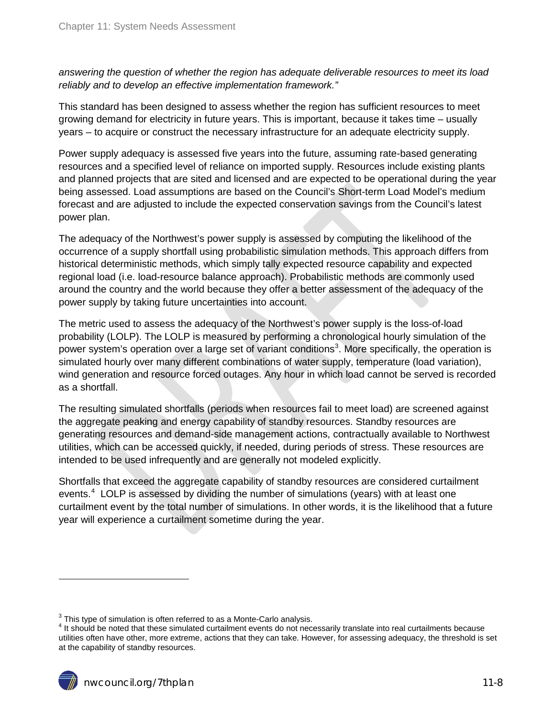*answering the question of whether the region has adequate deliverable resources to meet its load reliably and to develop an effective implementation framework."*

This standard has been designed to assess whether the region has sufficient resources to meet growing demand for electricity in future years. This is important, because it takes time – usually years – to acquire or construct the necessary infrastructure for an adequate electricity supply.

Power supply adequacy is assessed five years into the future, assuming rate-based generating resources and a specified level of reliance on imported supply. Resources include existing plants and planned projects that are sited and licensed and are expected to be operational during the year being assessed. Load assumptions are based on the Council's Short-term Load Model's medium forecast and are adjusted to include the expected conservation savings from the Council's latest power plan.

The adequacy of the Northwest's power supply is assessed by computing the likelihood of the occurrence of a supply shortfall using probabilistic simulation methods. This approach differs from historical deterministic methods, which simply tally expected resource capability and expected regional load (i.e. load-resource balance approach). Probabilistic methods are commonly used around the country and the world because they offer a better assessment of the adequacy of the power supply by taking future uncertainties into account.

The metric used to assess the adequacy of the Northwest's power supply is the loss-of-load probability (LOLP). The LOLP is measured by performing a chronological hourly simulation of the power system's operation over a large set of variant conditions<sup>[3](#page-6-2)</sup>. More specifically, the operation is simulated hourly over many different combinations of water supply, temperature (load variation), wind generation and resource forced outages. Any hour in which load cannot be served is recorded as a shortfall.

The resulting simulated shortfalls (periods when resources fail to meet load) are screened against the aggregate peaking and energy capability of standby resources. Standby resources are generating resources and demand-side management actions, contractually available to Northwest utilities, which can be accessed quickly, if needed, during periods of stress. These resources are intended to be used infrequently and are generally not modeled explicitly.

Shortfalls that exceed the aggregate capability of standby resources are considered curtailment events.<sup>[4](#page-7-0)</sup> LOLP is assessed by dividing the number of simulations (years) with at least one curtailment event by the total number of simulations. In other words, it is the likelihood that a future year will experience a curtailment sometime during the year.

<span id="page-7-1"></span><span id="page-7-0"></span> $3$  This type of simulation is often referred to as a Monte-Carlo analysis.<br> $4$  It should be noted that these simulated curtailment events do not necessarily translate into real curtailments because utilities often have other, more extreme, actions that they can take. However, for assessing adequacy, the threshold is set at the capability of standby resources.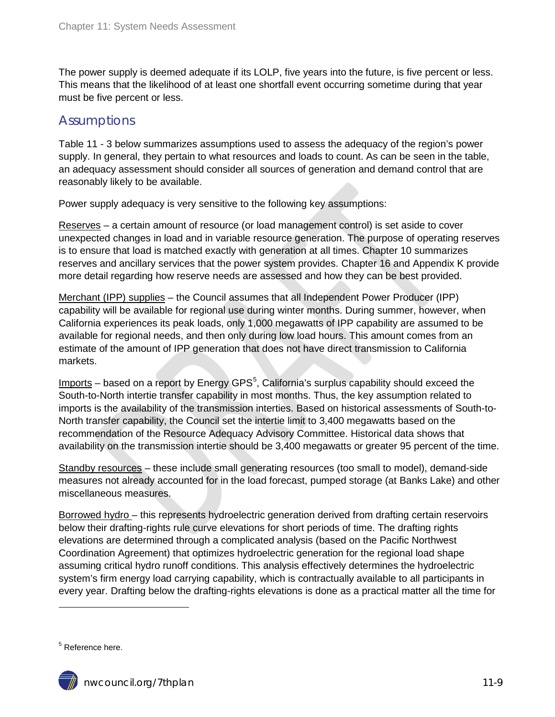The power supply is deemed adequate if its LOLP, five years into the future, is five percent or less. This means that the likelihood of at least one shortfall event occurring sometime during that year must be five percent or less.

#### <span id="page-8-0"></span>**Assumptions**

Table 11 - 3 below summarizes assumptions used to assess the adequacy of the region's power supply. In general, they pertain to what resources and loads to count. As can be seen in the table, an adequacy assessment should consider all sources of generation and demand control that are reasonably likely to be available.

Power supply adequacy is very sensitive to the following key assumptions:

Reserves – a certain amount of resource (or load management control) is set aside to cover unexpected changes in load and in variable resource generation. The purpose of operating reserves is to ensure that load is matched exactly with generation at all times. Chapter 10 summarizes reserves and ancillary services that the power system provides. Chapter 16 and Appendix K provide more detail regarding how reserve needs are assessed and how they can be best provided.

Merchant (IPP) supplies – the Council assumes that all Independent Power Producer (IPP) capability will be available for regional use during winter months. During summer, however, when California experiences its peak loads, only 1,000 megawatts of IPP capability are assumed to be available for regional needs, and then only during low load hours. This amount comes from an estimate of the amount of IPP generation that does not have direct transmission to California markets.

Imports – based on a report by Energy GPS<sup>[5](#page-7-1)</sup>, California's surplus capability should exceed the South-to-North intertie transfer capability in most months. Thus, the key assumption related to imports is the availability of the transmission interties. Based on historical assessments of South-to-North transfer capability, the Council set the intertie limit to 3,400 megawatts based on the recommendation of the Resource Adequacy Advisory Committee. Historical data shows that availability on the transmission intertie should be 3,400 megawatts or greater 95 percent of the time.

Standby resources – these include small generating resources (too small to model), demand-side measures not already accounted for in the load forecast, pumped storage (at Banks Lake) and other miscellaneous measures.

Borrowed hydro – this represents hydroelectric generation derived from drafting certain reservoirs below their drafting-rights rule curve elevations for short periods of time. The drafting rights elevations are determined through a complicated analysis (based on the Pacific Northwest Coordination Agreement) that optimizes hydroelectric generation for the regional load shape assuming critical hydro runoff conditions. This analysis effectively determines the hydroelectric system's firm energy load carrying capability, which is contractually available to all participants in every year. Drafting below the drafting-rights elevations is done as a practical matter all the time for

<span id="page-8-1"></span><sup>5</sup> Reference here.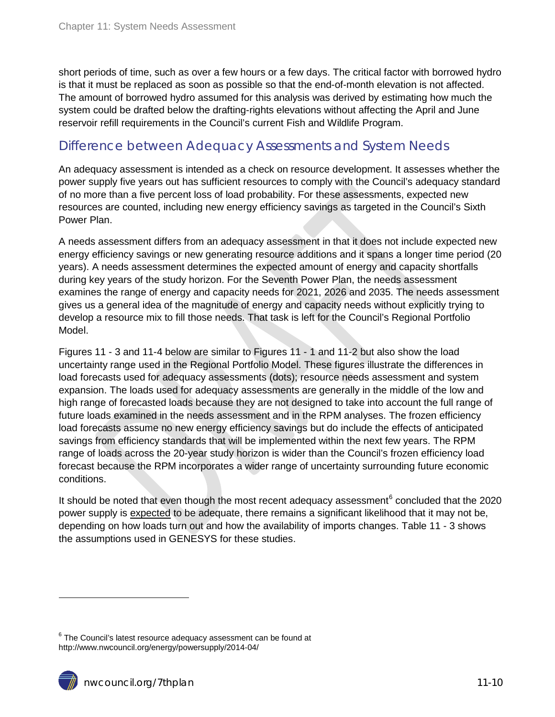short periods of time, such as over a few hours or a few days. The critical factor with borrowed hydro is that it must be replaced as soon as possible so that the end-of-month elevation is not affected. The amount of borrowed hydro assumed for this analysis was derived by estimating how much the system could be drafted below the drafting-rights elevations without affecting the April and June reservoir refill requirements in the Council's current Fish and Wildlife Program.

#### <span id="page-9-0"></span>Difference between Adequacy Assessments and System Needs

An adequacy assessment is intended as a check on resource development. It assesses whether the power supply five years out has sufficient resources to comply with the Council's adequacy standard of no more than a five percent loss of load probability. For these assessments, expected new resources are counted, including new energy efficiency savings as targeted in the Council's Sixth Power Plan.

A needs assessment differs from an adequacy assessment in that it does not include expected new energy efficiency savings or new generating resource additions and it spans a longer time period (20 years). A needs assessment determines the expected amount of energy and capacity shortfalls during key years of the study horizon. For the Seventh Power Plan, the needs assessment examines the range of energy and capacity needs for 2021, 2026 and 2035. The needs assessment gives us a general idea of the magnitude of energy and capacity needs without explicitly trying to develop a resource mix to fill those needs. That task is left for the Council's Regional Portfolio Model.

Figures 11 - 3 and 11-4 below are similar to Figures 11 - 1 and 11-2 but also show the load uncertainty range used in the Regional Portfolio Model. These figures illustrate the differences in load forecasts used for adequacy assessments (dots); resource needs assessment and system expansion. The loads used for adequacy assessments are generally in the middle of the low and high range of forecasted loads because they are not designed to take into account the full range of future loads examined in the needs assessment and in the RPM analyses. The frozen efficiency load forecasts assume no new energy efficiency savings but do include the effects of anticipated savings from efficiency standards that will be implemented within the next few years. The RPM range of loads across the 20-year study horizon is wider than the Council's frozen efficiency load forecast because the RPM incorporates a wider range of uncertainty surrounding future economic conditions.

It should be noted that even though the most recent adequacy assessment $6$  concluded that the 2020 power supply is expected to be adequate, there remains a significant likelihood that it may not be, depending on how loads turn out and how the availability of imports changes. Table 11 - 3 shows the assumptions used in GENESYS for these studies.



<span id="page-9-1"></span> $6$  The Council's latest resource adequacy assessment can be found at http://www.nwcouncil.org/energy/powersupply/2014-04/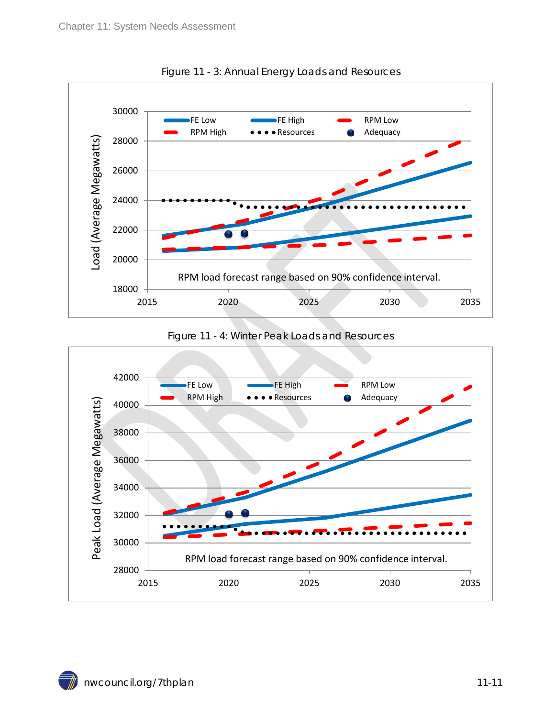<span id="page-10-0"></span>

Figure 11 - 3: Annual Energy Loads and Resources



<span id="page-10-1"></span>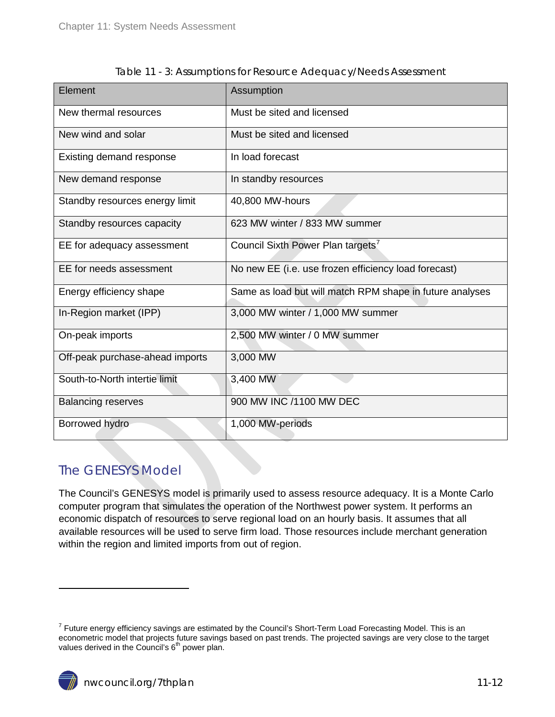<span id="page-11-1"></span>

| Element                         | Assumption                                               |
|---------------------------------|----------------------------------------------------------|
| New thermal resources           | Must be sited and licensed                               |
| New wind and solar              | Must be sited and licensed                               |
| Existing demand response        | In load forecast                                         |
| New demand response             | In standby resources                                     |
| Standby resources energy limit  | 40,800 MW-hours                                          |
| Standby resources capacity      | 623 MW winter / 833 MW summer                            |
| EE for adequacy assessment      | Council Sixth Power Plan targets'                        |
| EE for needs assessment         | No new EE (i.e. use frozen efficiency load forecast)     |
| Energy efficiency shape         | Same as load but will match RPM shape in future analyses |
| In-Region market (IPP)          | 3,000 MW winter / 1,000 MW summer                        |
| On-peak imports                 | 2,500 MW winter / 0 MW summer                            |
| Off-peak purchase-ahead imports | 3,000 MW                                                 |
| South-to-North intertie limit   | 3,400 MW                                                 |
| <b>Balancing reserves</b>       | 900 MW INC /1100 MW DEC                                  |
| Borrowed hydro                  | 1,000 MW-periods                                         |

Table 11 - 3: Assumptions for Resource Adequacy/Needs Assessment

#### <span id="page-11-0"></span>The GENESYS Model

 $\overline{a}$ 

The Council's GENESYS model is primarily used to assess resource adequacy. It is a Monte Carlo computer program that simulates the operation of the Northwest power system. It performs an economic dispatch of resources to serve regional load on an hourly basis. It assumes that all available resources will be used to serve firm load. Those resources include merchant generation within the region and limited imports from out of region.

<span id="page-11-2"></span> $7$  Future energy efficiency savings are estimated by the Council's Short-Term Load Forecasting Model. This is an econometric model that projects future savings based on past trends. The projected savings are very close to the target values derived in the Council's  $6<sup>th</sup>$  power plan.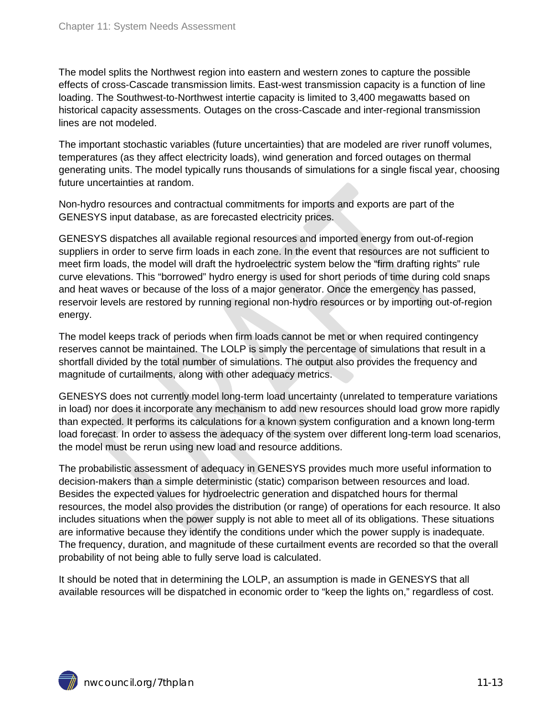The model splits the Northwest region into eastern and western zones to capture the possible effects of cross-Cascade transmission limits. East-west transmission capacity is a function of line loading. The Southwest-to-Northwest intertie capacity is limited to 3,400 megawatts based on historical capacity assessments. Outages on the cross-Cascade and inter-regional transmission lines are not modeled.

The important stochastic variables (future uncertainties) that are modeled are river runoff volumes, temperatures (as they affect electricity loads), wind generation and forced outages on thermal generating units. The model typically runs thousands of simulations for a single fiscal year, choosing future uncertainties at random.

Non-hydro resources and contractual commitments for imports and exports are part of the GENESYS input database, as are forecasted electricity prices.

GENESYS dispatches all available regional resources and imported energy from out-of-region suppliers in order to serve firm loads in each zone. In the event that resources are not sufficient to meet firm loads, the model will draft the hydroelectric system below the "firm drafting rights" rule curve elevations. This "borrowed" hydro energy is used for short periods of time during cold snaps and heat waves or because of the loss of a major generator. Once the emergency has passed, reservoir levels are restored by running regional non-hydro resources or by importing out-of-region energy.

The model keeps track of periods when firm loads cannot be met or when required contingency reserves cannot be maintained. The LOLP is simply the percentage of simulations that result in a shortfall divided by the total number of simulations. The output also provides the frequency and magnitude of curtailments, along with other adequacy metrics.

GENESYS does not currently model long-term load uncertainty (unrelated to temperature variations in load) nor does it incorporate any mechanism to add new resources should load grow more rapidly than expected. It performs its calculations for a known system configuration and a known long-term load forecast. In order to assess the adequacy of the system over different long-term load scenarios, the model must be rerun using new load and resource additions.

The probabilistic assessment of adequacy in GENESYS provides much more useful information to decision-makers than a simple deterministic (static) comparison between resources and load. Besides the expected values for hydroelectric generation and dispatched hours for thermal resources, the model also provides the distribution (or range) of operations for each resource. It also includes situations when the power supply is not able to meet all of its obligations. These situations are informative because they identify the conditions under which the power supply is inadequate. The frequency, duration, and magnitude of these curtailment events are recorded so that the overall probability of not being able to fully serve load is calculated.

It should be noted that in determining the LOLP, an assumption is made in GENESYS that all available resources will be dispatched in economic order to "keep the lights on," regardless of cost.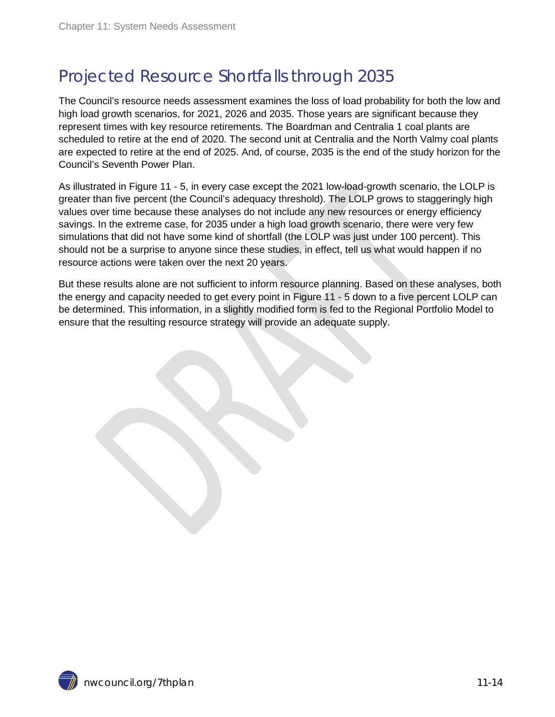## <span id="page-13-0"></span>Projected Resource Shortfalls through 2035

The Council's resource needs assessment examines the loss of load probability for both the low and high load growth scenarios, for 2021, 2026 and 2035. Those years are significant because they represent times with key resource retirements. The Boardman and Centralia 1 coal plants are scheduled to retire at the end of 2020. The second unit at Centralia and the North Valmy coal plants are expected to retire at the end of 2025. And, of course, 2035 is the end of the study horizon for the Council's Seventh Power Plan.

As illustrated in Figure 11 - 5, in every case except the 2021 low-load-growth scenario, the LOLP is greater than five percent (the Council's adequacy threshold). The LOLP grows to staggeringly high values over time because these analyses do not include any new resources or energy efficiency savings. In the extreme case, for 2035 under a high load growth scenario, there were very few simulations that did not have some kind of shortfall (the LOLP was just under 100 percent). This should not be a surprise to anyone since these studies, in effect, tell us what would happen if no resource actions were taken over the next 20 years.

But these results alone are not sufficient to inform resource planning. Based on these analyses, both the energy and capacity needed to get every point in Figure 11 - 5 down to a five percent LOLP can be determined. This information, in a slightly modified form is fed to the Regional Portfolio Model to ensure that the resulting resource strategy will provide an adequate supply.

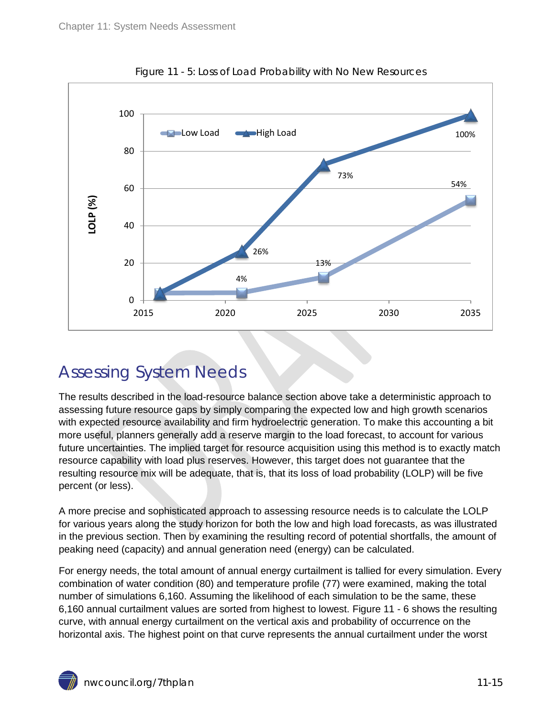<span id="page-14-1"></span>

Figure 11 - 5: Loss of Load Probability with No New Resources

### <span id="page-14-0"></span>Assessing System Needs

The results described in the load-resource balance section above take a deterministic approach to assessing future resource gaps by simply comparing the expected low and high growth scenarios with expected resource availability and firm hydroelectric generation. To make this accounting a bit more useful, planners generally add a reserve margin to the load forecast, to account for various future uncertainties. The implied target for resource acquisition using this method is to exactly match resource capability with load plus reserves. However, this target does not guarantee that the resulting resource mix will be adequate, that is, that its loss of load probability (LOLP) will be five percent (or less).

A more precise and sophisticated approach to assessing resource needs is to calculate the LOLP for various years along the study horizon for both the low and high load forecasts, as was illustrated in the previous section. Then by examining the resulting record of potential shortfalls, the amount of peaking need (capacity) and annual generation need (energy) can be calculated.

For energy needs, the total amount of annual energy curtailment is tallied for every simulation. Every combination of water condition (80) and temperature profile (77) were examined, making the total number of simulations 6,160. Assuming the likelihood of each simulation to be the same, these 6,160 annual curtailment values are sorted from highest to lowest. Figure 11 - 6 shows the resulting curve, with annual energy curtailment on the vertical axis and probability of occurrence on the horizontal axis. The highest point on that curve represents the annual curtailment under the worst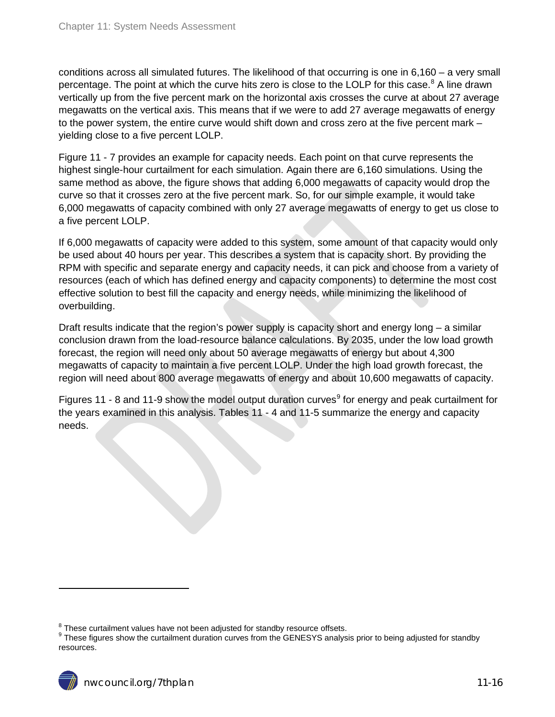conditions across all simulated futures. The likelihood of that occurring is one in 6,160 – a very small percentage. The point at which the curve hits zero is close to the LOLP for this case.<sup>[8](#page-11-2)</sup> A line drawn vertically up from the five percent mark on the horizontal axis crosses the curve at about 27 average megawatts on the vertical axis. This means that if we were to add 27 average megawatts of energy to the power system, the entire curve would shift down and cross zero at the five percent mark – yielding close to a five percent LOLP.

Figure 11 - 7 provides an example for capacity needs. Each point on that curve represents the highest single-hour curtailment for each simulation. Again there are 6,160 simulations. Using the same method as above, the figure shows that adding 6,000 megawatts of capacity would drop the curve so that it crosses zero at the five percent mark. So, for our simple example, it would take 6,000 megawatts of capacity combined with only 27 average megawatts of energy to get us close to a five percent LOLP.

If 6,000 megawatts of capacity were added to this system, some amount of that capacity would only be used about 40 hours per year. This describes a system that is capacity short. By providing the RPM with specific and separate energy and capacity needs, it can pick and choose from a variety of resources (each of which has defined energy and capacity components) to determine the most cost effective solution to best fill the capacity and energy needs, while minimizing the likelihood of overbuilding.

Draft results indicate that the region's power supply is capacity short and energy long – a similar conclusion drawn from the load-resource balance calculations. By 2035, under the low load growth forecast, the region will need only about 50 average megawatts of energy but about 4,300 megawatts of capacity to maintain a five percent LOLP. Under the high load growth forecast, the region will need about 800 average megawatts of energy and about 10,600 megawatts of capacity.

Figures 11 - 8 and 11-[9](#page-15-0) show the model output duration curves<sup>9</sup> for energy and peak curtailment for the years examined in this analysis. Tables 11 - 4 and 11-5 summarize the energy and capacity needs.

 $8$  These curtailment values have not been adjusted for standby resource offsets.

<span id="page-15-0"></span> $9$  These figures show the curtailment duration curves from the GENESYS analysis prior to being adjusted for standby resources.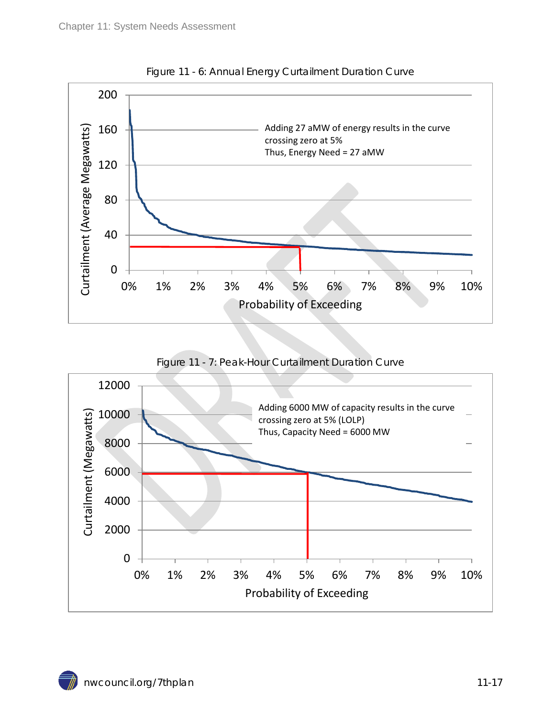<span id="page-16-0"></span>

Figure 11 - 6: Annual Energy Curtailment Duration Curve

Figure 11 - 7: Peak-Hour Curtailment Duration Curve

<span id="page-16-1"></span>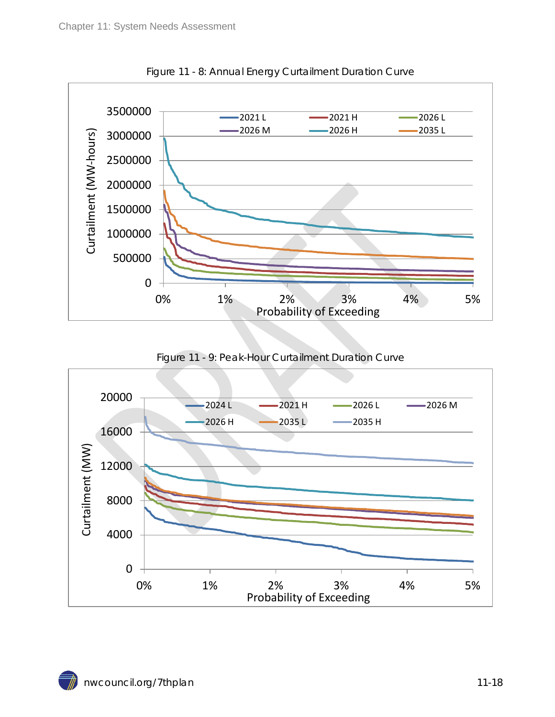<span id="page-17-0"></span>

Figure 11 - 8: Annual Energy Curtailment Duration Curve

Figure 11 - 9: Peak-Hour Curtailment Duration Curve

<span id="page-17-1"></span>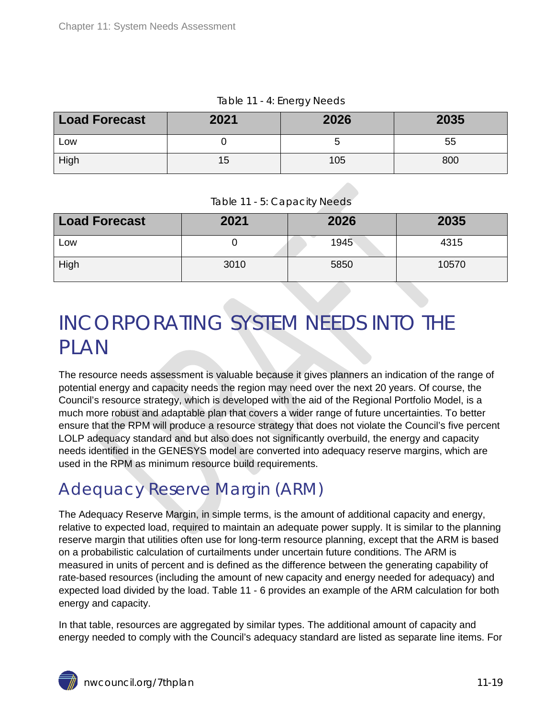<span id="page-18-2"></span>

| <b>Load Forecast</b> | 2021 | 2026 | 2035 |
|----------------------|------|------|------|
| Low                  |      |      | 55   |
| High                 | 15   | 105  | 800  |

Table 11 - 4: Energy Needs

Table 11 - 5: Capacity Needs

<span id="page-18-3"></span>

| <b>Load Forecast</b> | 2021 | 2026 | 2035  |
|----------------------|------|------|-------|
| Low                  |      | 1945 | 4315  |
| High                 | 3010 | 5850 | 10570 |

# <span id="page-18-0"></span>INCORPORATING SYSTEM NEEDS INTO THE PLAN

The resource needs assessment is valuable because it gives planners an indication of the range of potential energy and capacity needs the region may need over the next 20 years. Of course, the Council's resource strategy, which is developed with the aid of the Regional Portfolio Model, is a much more robust and adaptable plan that covers a wider range of future uncertainties. To better ensure that the RPM will produce a resource strategy that does not violate the Council's five percent LOLP adequacy standard and but also does not significantly overbuild, the energy and capacity needs identified in the GENESYS model are converted into adequacy reserve margins, which are used in the RPM as minimum resource build requirements.

## <span id="page-18-1"></span>Adequacy Reserve Margin (ARM)

The Adequacy Reserve Margin, in simple terms, is the amount of additional capacity and energy, relative to expected load, required to maintain an adequate power supply. It is similar to the planning reserve margin that utilities often use for long-term resource planning, except that the ARM is based on a probabilistic calculation of curtailments under uncertain future conditions. The ARM is measured in units of percent and is defined as the difference between the generating capability of rate-based resources (including the amount of new capacity and energy needed for adequacy) and expected load divided by the load. Table 11 - 6 provides an example of the ARM calculation for both energy and capacity.

In that table, resources are aggregated by similar types. The additional amount of capacity and energy needed to comply with the Council's adequacy standard are listed as separate line items. For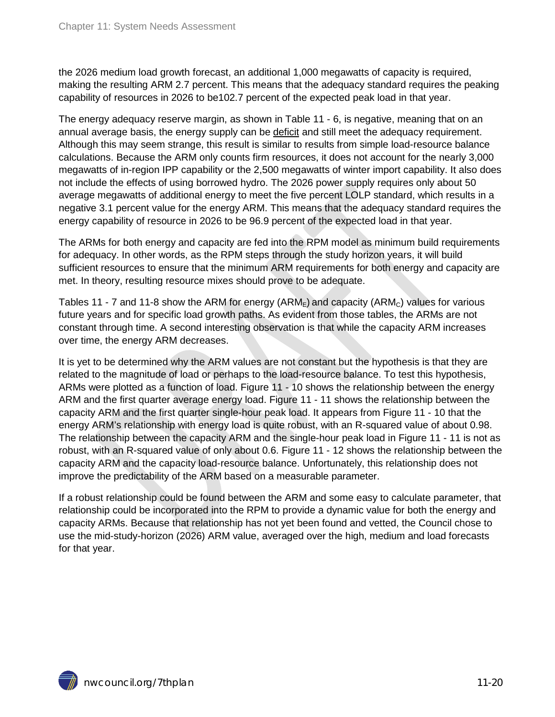the 2026 medium load growth forecast, an additional 1,000 megawatts of capacity is required, making the resulting ARM 2.7 percent. This means that the adequacy standard requires the peaking capability of resources in 2026 to be102.7 percent of the expected peak load in that year.

The energy adequacy reserve margin, as shown in Table 11 - 6, is negative, meaning that on an annual average basis, the energy supply can be deficit and still meet the adequacy requirement. Although this may seem strange, this result is similar to results from simple load-resource balance calculations. Because the ARM only counts firm resources, it does not account for the nearly 3,000 megawatts of in-region IPP capability or the 2,500 megawatts of winter import capability. It also does not include the effects of using borrowed hydro. The 2026 power supply requires only about 50 average megawatts of additional energy to meet the five percent LOLP standard, which results in a negative 3.1 percent value for the energy ARM. This means that the adequacy standard requires the energy capability of resource in 2026 to be 96.9 percent of the expected load in that year.

The ARMs for both energy and capacity are fed into the RPM model as minimum build requirements for adequacy. In other words, as the RPM steps through the study horizon years, it will build sufficient resources to ensure that the minimum ARM requirements for both energy and capacity are met. In theory, resulting resource mixes should prove to be adequate.

Tables 11 - 7 and 11-8 show the ARM for energy (ARM<sub>E</sub>) and capacity (ARM<sub>C</sub>) values for various future years and for specific load growth paths. As evident from those tables, the ARMs are not constant through time. A second interesting observation is that while the capacity ARM increases over time, the energy ARM decreases.

It is yet to be determined why the ARM values are not constant but the hypothesis is that they are related to the magnitude of load or perhaps to the load-resource balance. To test this hypothesis, ARMs were plotted as a function of load. Figure 11 - 10 shows the relationship between the energy ARM and the first quarter average energy load. Figure 11 - 11 shows the relationship between the capacity ARM and the first quarter single-hour peak load. It appears from Figure 11 - 10 that the energy ARM's relationship with energy load is quite robust, with an R-squared value of about 0.98. The relationship between the capacity ARM and the single-hour peak load in Figure 11 - 11 is not as robust, with an R-squared value of only about 0.6. Figure 11 - 12 shows the relationship between the capacity ARM and the capacity load-resource balance. Unfortunately, this relationship does not improve the predictability of the ARM based on a measurable parameter.

If a robust relationship could be found between the ARM and some easy to calculate parameter, that relationship could be incorporated into the RPM to provide a dynamic value for both the energy and capacity ARMs. Because that relationship has not yet been found and vetted, the Council chose to use the mid-study-horizon (2026) ARM value, averaged over the high, medium and load forecasts for that year.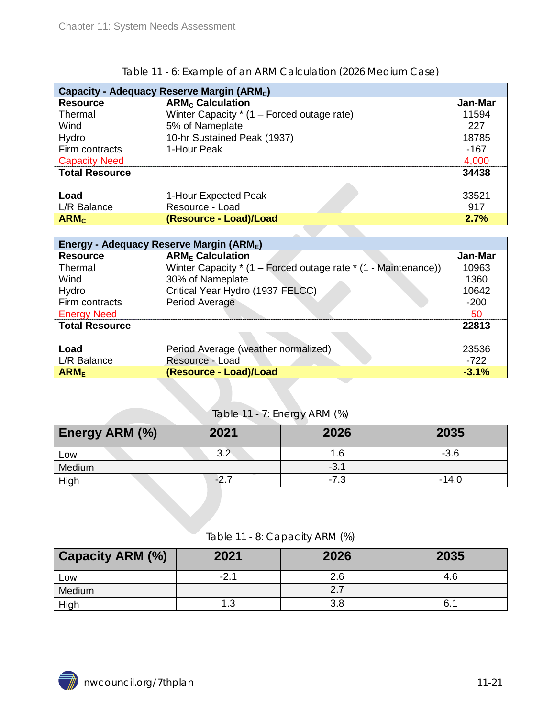<span id="page-20-0"></span>

| Capacity - Adequacy Reserve Margin (ARM <sub>c</sub> ) |                                              |  |         |  |
|--------------------------------------------------------|----------------------------------------------|--|---------|--|
| <b>Resource</b>                                        | <b>ARM<sub>c</sub></b> Calculation           |  | Jan-Mar |  |
| Thermal                                                | Winter Capacity $*$ (1 – Forced outage rate) |  | 11594   |  |
| Wind                                                   | 5% of Nameplate                              |  | 227     |  |
| Hydro                                                  | 10-hr Sustained Peak (1937)                  |  | 18785   |  |
| Firm contracts                                         | 1-Hour Peak                                  |  | $-167$  |  |
| <b>Capacity Need</b>                                   |                                              |  | 4,000   |  |
| <b>Total Resource</b>                                  |                                              |  | 34438   |  |
|                                                        |                                              |  |         |  |
| Load                                                   | 1-Hour Expected Peak                         |  | 33521   |  |
| L/R Balance                                            | Resource - Load                              |  | 917     |  |
| ARM <sub>c</sub>                                       | (Resource - Load)/Load                       |  | 2.7%    |  |

#### Table 11 - 6: Example of an ARM Calculation (2026 Medium Case)

| Energy - Adequacy Reserve Margin (ARME) |                                                                |         |  |  |
|-----------------------------------------|----------------------------------------------------------------|---------|--|--|
| <b>Resource</b>                         | <b>ARM<sub>F</sub></b> Calculation                             | Jan-Mar |  |  |
| Thermal                                 | Winter Capacity * (1 – Forced outage rate * (1 - Maintenance)) | 10963   |  |  |
| Wind                                    | 30% of Nameplate                                               | 1360    |  |  |
| Hydro                                   | Critical Year Hydro (1937 FELCC)                               | 10642   |  |  |
| Firm contracts                          | Period Average                                                 | $-200$  |  |  |
| <b>Energy Need</b>                      |                                                                | 50      |  |  |
| <b>Total Resource</b>                   |                                                                | 22813   |  |  |
|                                         |                                                                |         |  |  |
| Load                                    | Period Average (weather normalized)                            | 23536   |  |  |
| L/R Balance                             | Resource - Load                                                | $-722$  |  |  |
| ARM <sub>E</sub>                        | (Resource - Load)/Load                                         | $-3.1%$ |  |  |

#### Table 11 - 7: Energy ARM (%)

<span id="page-20-1"></span>

| <b>Energy ARM (%)</b> | 2021 | 2026   | 2035    |
|-----------------------|------|--------|---------|
| LOW                   |      |        | -3.6    |
| Medium                |      | $-3.1$ |         |
| High                  | -2   | -7.3   | $-14.0$ |

#### Table 11 - 8: Capacity ARM (%)

<span id="page-20-2"></span>

| <b>Capacity ARM (%)</b> | 2021      | 2026 | 2035 |
|-------------------------|-----------|------|------|
| Low                     | $-2.$     | 2.6  | 4.6  |
| Medium                  |           | 2.7  |      |
| High                    | 1 2<br>ن. | 3.8  | 6.   |

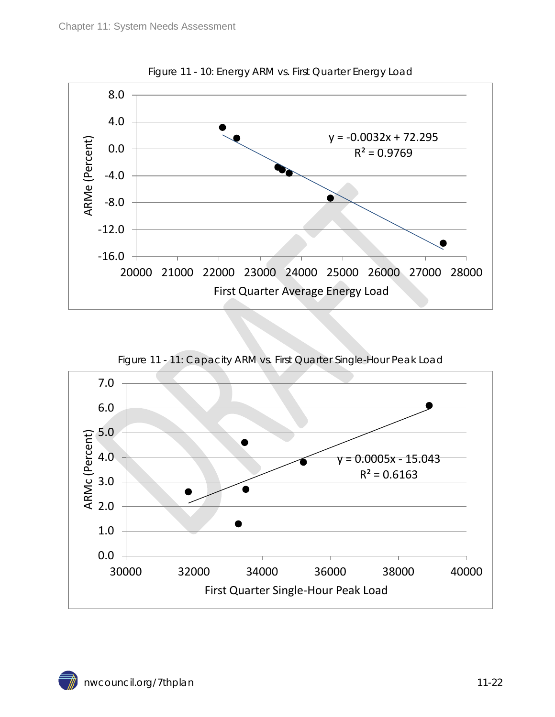<span id="page-21-0"></span>

Figure 11 - 10: Energy ARM vs. First Quarter Energy Load

<span id="page-21-1"></span>

Figure 11 - 11: Capacity ARM vs. First Quarter Single-Hour Peak Load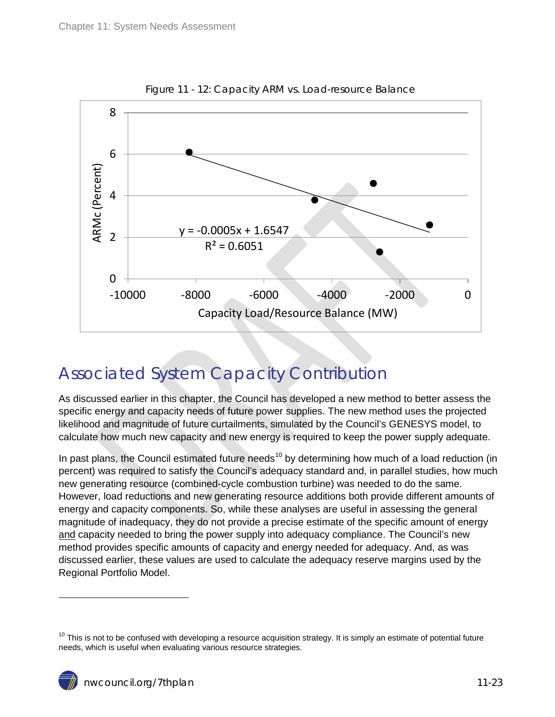<span id="page-22-1"></span>

Figure 11 - 12: Capacity ARM vs. Load-resource Balance

## <span id="page-22-0"></span>Associated System Capacity Contribution

As discussed earlier in this chapter, the Council has developed a new method to better assess the specific energy and capacity needs of future power supplies. The new method uses the projected likelihood and magnitude of future curtailments, simulated by the Council's GENESYS model, to calculate how much new capacity and new energy is required to keep the power supply adequate.

In past plans, the Council estimated future needs<sup>[10](#page-15-0)</sup> by determining how much of a load reduction (in percent) was required to satisfy the Council's adequacy standard and, in parallel studies, how much new generating resource (combined-cycle combustion turbine) was needed to do the same. However, load reductions and new generating resource additions both provide different amounts of energy and capacity components. So, while these analyses are useful in assessing the general magnitude of inadequacy, they do not provide a precise estimate of the specific amount of energy and capacity needed to bring the power supply into adequacy compliance. The Council's new method provides specific amounts of capacity and energy needed for adequacy. And, as was discussed earlier, these values are used to calculate the adequacy reserve margins used by the Regional Portfolio Model.

 $10$  This is not to be confused with developing a resource acquisition strategy. It is simply an estimate of potential future needs, which is useful when evaluating various resource strategies.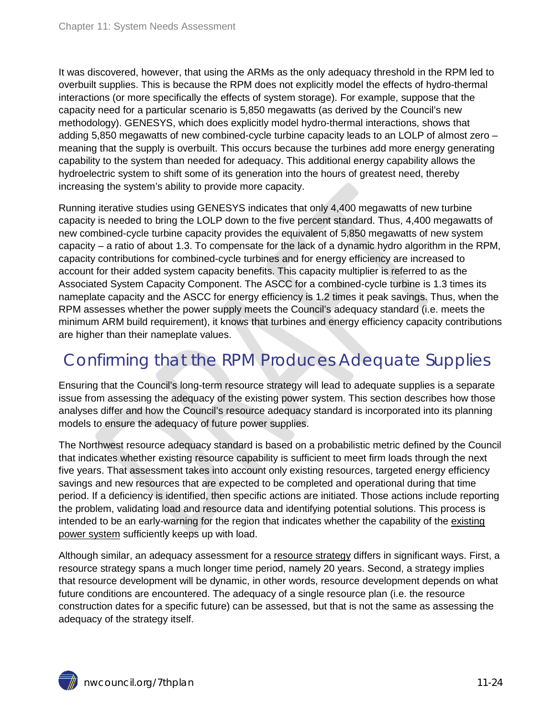It was discovered, however, that using the ARMs as the only adequacy threshold in the RPM led to overbuilt supplies. This is because the RPM does not explicitly model the effects of hydro-thermal interactions (or more specifically the effects of system storage). For example, suppose that the capacity need for a particular scenario is 5,850 megawatts (as derived by the Council's new methodology). GENESYS, which does explicitly model hydro-thermal interactions, shows that adding 5,850 megawatts of new combined-cycle turbine capacity leads to an LOLP of almost zero – meaning that the supply is overbuilt. This occurs because the turbines add more energy generating capability to the system than needed for adequacy. This additional energy capability allows the hydroelectric system to shift some of its generation into the hours of greatest need, thereby increasing the system's ability to provide more capacity.

Running iterative studies using GENESYS indicates that only 4,400 megawatts of new turbine capacity is needed to bring the LOLP down to the five percent standard. Thus, 4,400 megawatts of new combined-cycle turbine capacity provides the equivalent of 5,850 megawatts of new system capacity – a ratio of about 1.3. To compensate for the lack of a dynamic hydro algorithm in the RPM, capacity contributions for combined-cycle turbines and for energy efficiency are increased to account for their added system capacity benefits. This capacity multiplier is referred to as the Associated System Capacity Component. The ASCC for a combined-cycle turbine is 1.3 times its nameplate capacity and the ASCC for energy efficiency is 1.2 times it peak savings. Thus, when the RPM assesses whether the power supply meets the Council's adequacy standard (i.e. meets the minimum ARM build requirement), it knows that turbines and energy efficiency capacity contributions are higher than their nameplate values.

## <span id="page-23-0"></span>Confirming that the RPM Produces Adequate Supplies

Ensuring that the Council's long-term resource strategy will lead to adequate supplies is a separate issue from assessing the adequacy of the existing power system. This section describes how those analyses differ and how the Council's resource adequacy standard is incorporated into its planning models to ensure the adequacy of future power supplies.

The Northwest resource adequacy standard is based on a probabilistic metric defined by the Council that indicates whether existing resource capability is sufficient to meet firm loads through the next five years. That assessment takes into account only existing resources, targeted energy efficiency savings and new resources that are expected to be completed and operational during that time period. If a deficiency is identified, then specific actions are initiated. Those actions include reporting the problem, validating load and resource data and identifying potential solutions. This process is intended to be an early-warning for the region that indicates whether the capability of the existing power system sufficiently keeps up with load.

Although similar, an adequacy assessment for a resource strategy differs in significant ways. First, a resource strategy spans a much longer time period, namely 20 years. Second, a strategy implies that resource development will be dynamic, in other words, resource development depends on what future conditions are encountered. The adequacy of a single resource plan (i.e. the resource construction dates for a specific future) can be assessed, but that is not the same as assessing the adequacy of the strategy itself.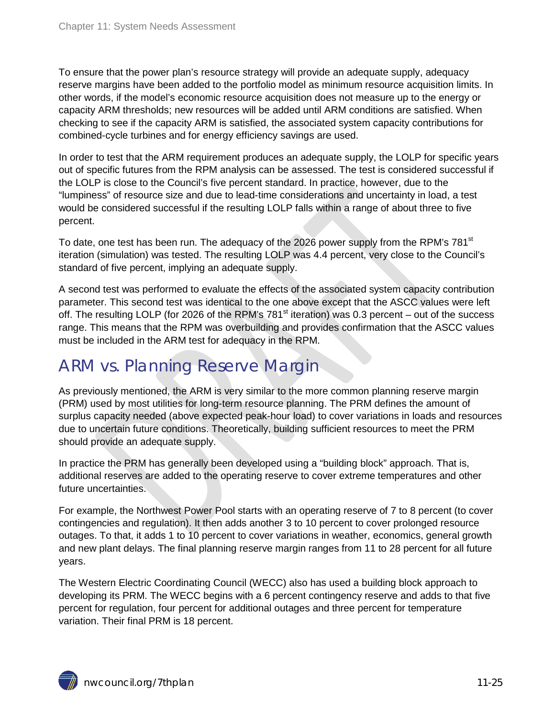To ensure that the power plan's resource strategy will provide an adequate supply, adequacy reserve margins have been added to the portfolio model as minimum resource acquisition limits. In other words, if the model's economic resource acquisition does not measure up to the energy or capacity ARM thresholds; new resources will be added until ARM conditions are satisfied. When checking to see if the capacity ARM is satisfied, the associated system capacity contributions for combined-cycle turbines and for energy efficiency savings are used.

In order to test that the ARM requirement produces an adequate supply, the LOLP for specific years out of specific futures from the RPM analysis can be assessed. The test is considered successful if the LOLP is close to the Council's five percent standard. In practice, however, due to the "lumpiness" of resource size and due to lead-time considerations and uncertainty in load, a test would be considered successful if the resulting LOLP falls within a range of about three to five percent.

To date, one test has been run. The adequacy of the 2026 power supply from the RPM's 781<sup>st</sup> iteration (simulation) was tested. The resulting LOLP was 4.4 percent, very close to the Council's standard of five percent, implying an adequate supply.

A second test was performed to evaluate the effects of the associated system capacity contribution parameter. This second test was identical to the one above except that the ASCC values were left off. The resulting LOLP (for 2026 of the RPM's 781 $^{\rm st}$  iteration) was 0.3 percent – out of the success range. This means that the RPM was overbuilding and provides confirmation that the ASCC values must be included in the ARM test for adequacy in the RPM.

### <span id="page-24-0"></span>ARM vs. Planning Reserve Margin

As previously mentioned, the ARM is very similar to the more common planning reserve margin (PRM) used by most utilities for long-term resource planning. The PRM defines the amount of surplus capacity needed (above expected peak-hour load) to cover variations in loads and resources due to uncertain future conditions. Theoretically, building sufficient resources to meet the PRM should provide an adequate supply.

In practice the PRM has generally been developed using a "building block" approach. That is, additional reserves are added to the operating reserve to cover extreme temperatures and other future uncertainties.

For example, the Northwest Power Pool starts with an operating reserve of 7 to 8 percent (to cover contingencies and regulation). It then adds another 3 to 10 percent to cover prolonged resource outages. To that, it adds 1 to 10 percent to cover variations in weather, economics, general growth and new plant delays. The final planning reserve margin ranges from 11 to 28 percent for all future years.

The Western Electric Coordinating Council (WECC) also has used a building block approach to developing its PRM. The WECC begins with a 6 percent contingency reserve and adds to that five percent for regulation, four percent for additional outages and three percent for temperature variation. Their final PRM is 18 percent.